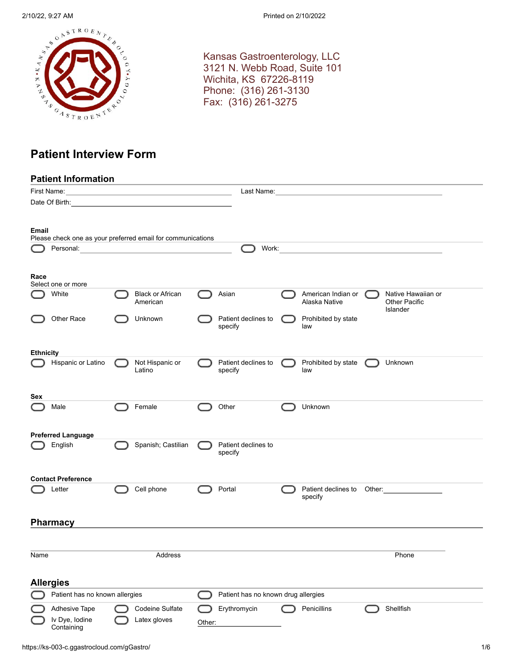

Kansas Gastroenterology, LLC 3121 N. Webb Road, Suite 101 Wichita, KS 67226-8119 Phone: (316) 261-3130 Fax: (316) 261-3275

# **Patient Interview Form**

|                  | <b>Patient Information</b>                                               |                                                                            |        |                                     |                                               |                                                        |
|------------------|--------------------------------------------------------------------------|----------------------------------------------------------------------------|--------|-------------------------------------|-----------------------------------------------|--------------------------------------------------------|
|                  |                                                                          |                                                                            |        |                                     | Last Name:___________________________________ |                                                        |
|                  |                                                                          |                                                                            |        |                                     |                                               |                                                        |
|                  |                                                                          |                                                                            |        |                                     |                                               |                                                        |
| Email            |                                                                          |                                                                            |        |                                     |                                               |                                                        |
|                  | Please check one as your preferred email for communications<br>Personal: | <u> 1989 - Johann Harry Barn, mars ar breist fan de Fryske kommunent (</u> |        | Work:                               |                                               |                                                        |
|                  |                                                                          |                                                                            |        |                                     |                                               |                                                        |
| Race             | Select one or more                                                       |                                                                            |        |                                     |                                               |                                                        |
|                  | White                                                                    | <b>Black or African</b><br>American                                        |        | Asian                               | American Indian or<br>Alaska Native           | Native Hawaiian or<br><b>Other Pacific</b><br>Islander |
|                  | Other Race                                                               | Unknown                                                                    |        | Patient declines to<br>specify      | Prohibited by state<br>law                    |                                                        |
| <b>Ethnicity</b> |                                                                          |                                                                            |        |                                     |                                               |                                                        |
|                  | Hispanic or Latino                                                       | Not Hispanic or<br>Latino                                                  |        | Patient declines to<br>specify      | Prohibited by state (<br>law                  | Unknown                                                |
| Sex              |                                                                          |                                                                            |        |                                     |                                               |                                                        |
|                  | Male                                                                     | Female                                                                     |        | Other                               | Unknown                                       |                                                        |
|                  | <b>Preferred Language</b>                                                |                                                                            |        |                                     |                                               |                                                        |
|                  | English                                                                  | Spanish; Castilian                                                         |        | Patient declines to<br>specify      |                                               |                                                        |
|                  | <b>Contact Preference</b>                                                |                                                                            |        |                                     |                                               |                                                        |
|                  | Letter                                                                   | Cell phone                                                                 |        | Portal                              | Patient declines to Other:<br>specify         |                                                        |
|                  | <b>Pharmacy</b>                                                          |                                                                            |        |                                     |                                               |                                                        |
|                  |                                                                          |                                                                            |        |                                     |                                               |                                                        |
| Name             |                                                                          | Address                                                                    |        |                                     |                                               | Phone                                                  |
|                  |                                                                          |                                                                            |        |                                     |                                               |                                                        |
|                  | <b>Allergies</b>                                                         |                                                                            |        |                                     |                                               |                                                        |
|                  | Patient has no known allergies                                           |                                                                            |        | Patient has no known drug allergies |                                               |                                                        |
|                  | Adhesive Tape                                                            | Codeine Sulfate                                                            |        | Erythromycin                        | Penicillins                                   | Shellfish                                              |
|                  | Iv Dye, Iodine<br>Containing                                             | Latex gloves                                                               | Other: |                                     |                                               |                                                        |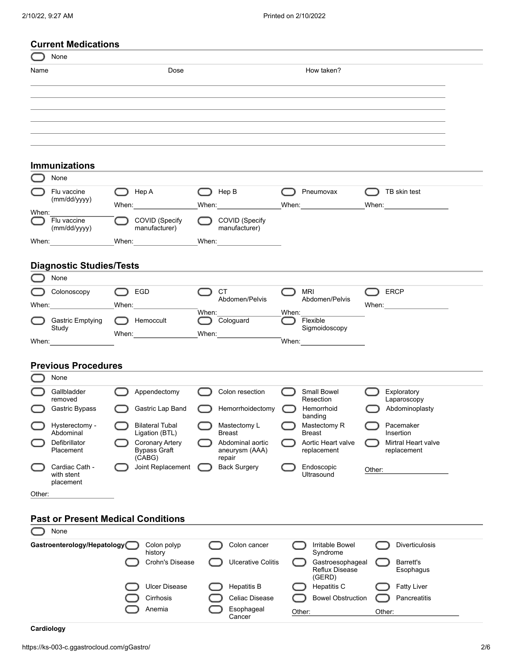|        | None                                                                                                                                                                                                                           |                                                        |        |                                                                                                                                                                                                                                                                                                                                                                                                                            |   |                                                   |        |                                  |
|--------|--------------------------------------------------------------------------------------------------------------------------------------------------------------------------------------------------------------------------------|--------------------------------------------------------|--------|----------------------------------------------------------------------------------------------------------------------------------------------------------------------------------------------------------------------------------------------------------------------------------------------------------------------------------------------------------------------------------------------------------------------------|---|---------------------------------------------------|--------|----------------------------------|
| Name   |                                                                                                                                                                                                                                | Dose                                                   |        |                                                                                                                                                                                                                                                                                                                                                                                                                            |   | How taken?                                        |        |                                  |
|        |                                                                                                                                                                                                                                |                                                        |        |                                                                                                                                                                                                                                                                                                                                                                                                                            |   |                                                   |        |                                  |
|        |                                                                                                                                                                                                                                |                                                        |        |                                                                                                                                                                                                                                                                                                                                                                                                                            |   |                                                   |        |                                  |
|        |                                                                                                                                                                                                                                |                                                        |        |                                                                                                                                                                                                                                                                                                                                                                                                                            |   |                                                   |        |                                  |
|        |                                                                                                                                                                                                                                |                                                        |        |                                                                                                                                                                                                                                                                                                                                                                                                                            |   |                                                   |        |                                  |
|        | <b>Immunizations</b>                                                                                                                                                                                                           |                                                        |        |                                                                                                                                                                                                                                                                                                                                                                                                                            |   |                                                   |        |                                  |
|        | None                                                                                                                                                                                                                           |                                                        |        |                                                                                                                                                                                                                                                                                                                                                                                                                            |   |                                                   |        |                                  |
|        | Flu vaccine                                                                                                                                                                                                                    | ◯ Hep A                                                | $\cup$ | Hep B                                                                                                                                                                                                                                                                                                                                                                                                                      | ◯ | Pneumovax                                         |        | <b>D</b> TB skin test            |
| When:  | (mm/dd/yyyy)                                                                                                                                                                                                                   | When: $\frac{1}{\sqrt{1-\frac{1}{2}}\cdot\frac{1}{2}}$ |        | When: When:                                                                                                                                                                                                                                                                                                                                                                                                                |   | When: When:                                       |        | When: When:                      |
|        | Flu vaccine<br>(mm/dd/yyyy)                                                                                                                                                                                                    | COVID (Specify<br>manufacturer)                        |        | COVID (Specify<br>manufacturer)                                                                                                                                                                                                                                                                                                                                                                                            |   |                                                   |        |                                  |
|        | When: when the contract of the contract of the contract of the contract of the contract of the contract of the contract of the contract of the contract of the contract of the contract of the contract of the contract of the |                                                        |        | _When:__________________                                                                                                                                                                                                                                                                                                                                                                                                   |   |                                                   |        |                                  |
|        |                                                                                                                                                                                                                                |                                                        |        |                                                                                                                                                                                                                                                                                                                                                                                                                            |   |                                                   |        |                                  |
|        | <b>Diagnostic Studies/Tests</b>                                                                                                                                                                                                |                                                        |        |                                                                                                                                                                                                                                                                                                                                                                                                                            |   |                                                   |        |                                  |
|        | None                                                                                                                                                                                                                           |                                                        |        |                                                                                                                                                                                                                                                                                                                                                                                                                            |   |                                                   |        |                                  |
|        | Colonoscopy<br>When: When:                                                                                                                                                                                                     | $\bigcap$ EGD<br>When: $\frac{1}{2}$                   |        | <b>CT</b><br>Abdomen/Pelvis                                                                                                                                                                                                                                                                                                                                                                                                |   | MRI<br>Abdomen/Pelvis                             |        | ERCP                             |
|        | <b>Gastric Emptying</b>                                                                                                                                                                                                        | Hemoccult                                              |        | When: $\frac{1}{\sqrt{1-\frac{1}{2}}\sqrt{1-\frac{1}{2}}\sqrt{1-\frac{1}{2}}\sqrt{1-\frac{1}{2}}\sqrt{1-\frac{1}{2}}\sqrt{1-\frac{1}{2}}\sqrt{1-\frac{1}{2}}\sqrt{1-\frac{1}{2}}\sqrt{1-\frac{1}{2}}\sqrt{1-\frac{1}{2}}\sqrt{1-\frac{1}{2}}\sqrt{1-\frac{1}{2}}\sqrt{1-\frac{1}{2}}\sqrt{1-\frac{1}{2}}\sqrt{1-\frac{1}{2}}\sqrt{1-\frac{1}{2}}\sqrt{1-\frac{1}{2}}\sqrt{1-\frac{1}{2}}\sqrt{1-\frac{1}{2}}$<br>Cologuard |   | When: $\sqrt{\frac{2}{1-\frac{1}{2}}$<br>Flexible |        |                                  |
|        | Study                                                                                                                                                                                                                          | When: _________________                                |        | When:                                                                                                                                                                                                                                                                                                                                                                                                                      |   | Sigmoidoscopy                                     |        |                                  |
|        | When: __________________                                                                                                                                                                                                       |                                                        |        |                                                                                                                                                                                                                                                                                                                                                                                                                            |   | When:                                             |        |                                  |
|        | <b>Previous Procedures</b>                                                                                                                                                                                                     |                                                        |        |                                                                                                                                                                                                                                                                                                                                                                                                                            |   |                                                   |        |                                  |
|        | None                                                                                                                                                                                                                           |                                                        |        |                                                                                                                                                                                                                                                                                                                                                                                                                            |   |                                                   |        |                                  |
|        | Gallbladder<br>removed                                                                                                                                                                                                         | Appendectomy                                           |        | Colon resection                                                                                                                                                                                                                                                                                                                                                                                                            |   | Small Bowel<br>Resection                          |        | Exploratory<br>Laparoscopy       |
|        | <b>Gastric Bypass</b>                                                                                                                                                                                                          | Gastric Lap Band                                       |        | Hemorrhoidectomy                                                                                                                                                                                                                                                                                                                                                                                                           |   | Hemorrhoid                                        |        | Abdominoplasty                   |
|        | Hysterectomy -                                                                                                                                                                                                                 | <b>Bilateral Tubal</b>                                 |        | Mastectomy L                                                                                                                                                                                                                                                                                                                                                                                                               |   | banding<br>Mastectomy R                           |        | Pacemaker                        |
|        | Abdominal<br>Defibrillator                                                                                                                                                                                                     | Ligation (BTL)<br><b>Coronary Artery</b>               |        | <b>Breast</b><br>Abdominal aortic                                                                                                                                                                                                                                                                                                                                                                                          |   | <b>Breast</b><br>Aortic Heart valve               |        | Insertion<br>Mirtral Heart valve |
|        | Placement                                                                                                                                                                                                                      | <b>Bypass Graft</b><br>(CABG)                          |        | aneurysm (AAA)<br>repair                                                                                                                                                                                                                                                                                                                                                                                                   |   | replacement                                       |        | replacement                      |
|        | Cardiac Cath -<br>with stent                                                                                                                                                                                                   | Joint Replacement                                      |        | <b>Back Surgery</b>                                                                                                                                                                                                                                                                                                                                                                                                        |   | Endoscopic<br>Ultrasound                          | Other: |                                  |
|        | placement                                                                                                                                                                                                                      |                                                        |        |                                                                                                                                                                                                                                                                                                                                                                                                                            |   |                                                   |        |                                  |
| Other: |                                                                                                                                                                                                                                |                                                        |        |                                                                                                                                                                                                                                                                                                                                                                                                                            |   |                                                   |        |                                  |

| None                         |                        |                      |        |                                                     |        |                        |
|------------------------------|------------------------|----------------------|--------|-----------------------------------------------------|--------|------------------------|
| Gastroenterology/Hepatology( | Colon polyp<br>history | Colon cancer         |        | Irritable Bowel<br>Syndrome                         |        | Diverticulosis         |
|                              | Crohn's Disease        | Ulcerative Colitis   |        | Gastroesophageal<br><b>Reflux Disease</b><br>(GERD) |        | Barrett's<br>Esophagus |
|                              | Ulcer Disease          | <b>Hepatitis B</b>   |        | Hepatitis C                                         |        | <b>Fatty Liver</b>     |
|                              | Cirrhosis              | Celiac Disease       |        | <b>Bowel Obstruction</b>                            |        | Pancreatitis           |
|                              | Anemia                 | Esophageal<br>Cancer | Other: |                                                     | Other: |                        |
|                              |                        |                      |        |                                                     |        |                        |

 $\overline{\phantom{0}}$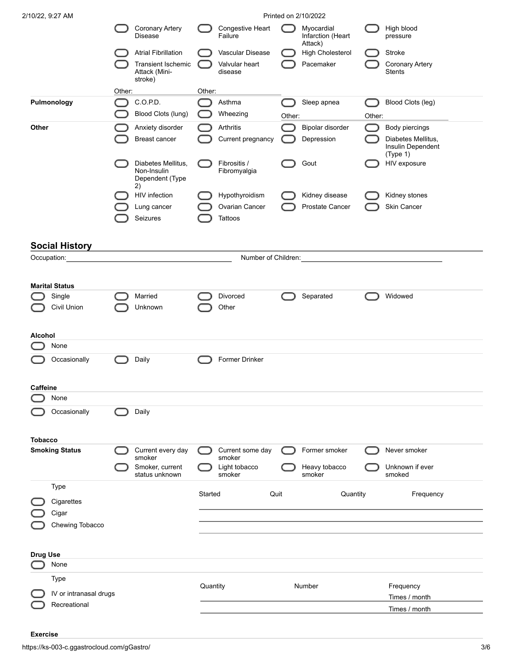| 2/10/22, 9:27 AM                |        |                                                            |          |                                   |        | Printed on 2/10/2022                       |        |                                                     |
|---------------------------------|--------|------------------------------------------------------------|----------|-----------------------------------|--------|--------------------------------------------|--------|-----------------------------------------------------|
|                                 |        | <b>Coronary Artery</b><br><b>Disease</b>                   |          | Congestive Heart<br>Failure       |        | Myocardial<br>Infarction (Heart<br>Attack) |        | High blood<br>pressure                              |
|                                 |        | <b>Atrial Fibrillation</b>                                 |          | Vascular Disease                  |        | <b>High Cholesterol</b>                    |        | Stroke                                              |
|                                 |        | Transient Ischemic<br>Attack (Mini-<br>stroke)             |          | Valvular heart<br>disease         |        | Pacemaker                                  |        | <b>Coronary Artery</b><br><b>Stents</b>             |
|                                 | Other: |                                                            | Other:   |                                   |        |                                            |        |                                                     |
| Pulmonology                     |        | C.O.P.D.                                                   |          | Asthma                            |        | Sleep apnea                                |        | Blood Clots (leg)                                   |
|                                 |        | Blood Clots (lung)                                         |          | Wheezing                          | Other: |                                            | Other: |                                                     |
| Other                           |        | Anxiety disorder                                           |          | Arthritis                         |        | Bipolar disorder                           |        | Body piercings                                      |
|                                 |        | Breast cancer                                              |          | Current pregnancy                 |        | Depression                                 |        | Diabetes Mellitus,<br>Insulin Dependent<br>(Type 1) |
|                                 |        | Diabetes Mellitus,<br>Non-Insulin<br>Dependent (Type<br>2) |          | Fibrositis /<br>Fibromyalgia      |        | Gout                                       |        | HIV exposure                                        |
|                                 |        | <b>HIV</b> infection                                       |          | Hypothyroidism                    |        | Kidney disease                             |        | Kidney stones                                       |
|                                 |        | Lung cancer                                                |          | Ovarian Cancer                    |        | Prostate Cancer                            |        | Skin Cancer                                         |
|                                 |        | Seizures                                                   |          | Tattoos                           |        |                                            |        |                                                     |
| <b>Social History</b>           |        |                                                            |          |                                   |        |                                            |        |                                                     |
| Occupation:                     |        |                                                            |          | Number of Children:               |        |                                            |        |                                                     |
|                                 |        |                                                            |          |                                   |        |                                            |        |                                                     |
| <b>Marital Status</b><br>Single |        | Married                                                    |          | Divorced                          |        | Separated                                  |        | Widowed                                             |
| Civil Union                     |        | Unknown                                                    |          | Other                             |        |                                            |        |                                                     |
| <b>Alcohol</b>                  |        |                                                            |          |                                   |        |                                            |        |                                                     |
| None                            |        |                                                            |          |                                   |        |                                            |        |                                                     |
| Occasionally                    |        | Daily                                                      |          | Former Drinker                    |        |                                            |        |                                                     |
|                                 |        |                                                            |          |                                   |        |                                            |        |                                                     |
| <b>Caffeine</b><br>None         |        |                                                            |          |                                   |        |                                            |        |                                                     |
| Occasionally                    |        | Daily                                                      |          |                                   |        |                                            |        |                                                     |
| <b>Tobacco</b>                  |        |                                                            |          |                                   |        |                                            |        |                                                     |
| <b>Smoking Status</b>           |        | Current every day                                          |          | Current some day                  |        | Former smoker                              |        | Never smoker                                        |
|                                 |        | smoker<br>Smoker, current<br>status unknown                |          | smoker<br>Light tobacco<br>smoker |        | Heavy tobacco<br>smoker                    |        | Unknown if ever<br>smoked                           |
| Type                            |        |                                                            |          |                                   |        |                                            |        |                                                     |
| Cigarettes                      |        |                                                            | Started  | Quit                              |        | Quantity                                   |        | Frequency                                           |
| Cigar                           |        |                                                            |          |                                   |        |                                            |        |                                                     |
| Chewing Tobacco                 |        |                                                            |          |                                   |        |                                            |        |                                                     |
|                                 |        |                                                            |          |                                   |        |                                            |        |                                                     |
| <b>Drug Use</b>                 |        |                                                            |          |                                   |        |                                            |        |                                                     |
| None                            |        |                                                            |          |                                   |        |                                            |        |                                                     |
| Type                            |        |                                                            | Quantity |                                   |        | Number                                     |        | Frequency                                           |
| IV or intranasal drugs          |        |                                                            |          |                                   |        |                                            |        | Times / month                                       |
| Recreational                    |        |                                                            |          |                                   |        |                                            |        | Times / month                                       |
|                                 |        |                                                            |          |                                   |        |                                            |        |                                                     |

### **Exercise**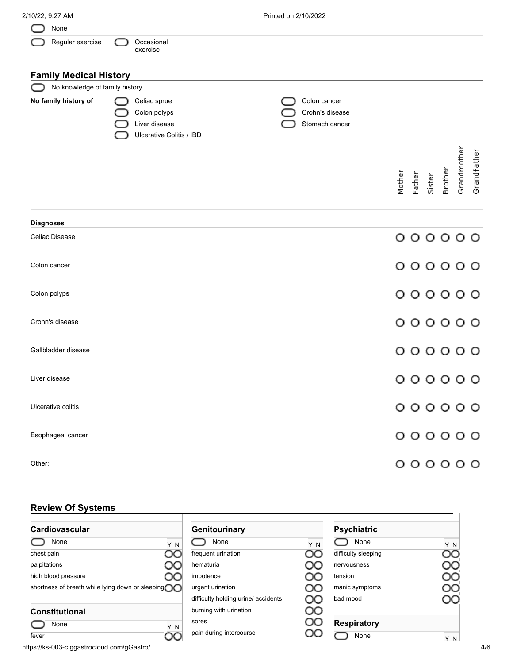| 2/10/22, 9:27 AM               |                                                                           | Printed on 2/10/2022                                                |
|--------------------------------|---------------------------------------------------------------------------|---------------------------------------------------------------------|
| None                           |                                                                           |                                                                     |
| Regular exercise               | Occasional<br>exercise                                                    |                                                                     |
| <b>Family Medical History</b>  |                                                                           |                                                                     |
| No knowledge of family history |                                                                           |                                                                     |
| No family history of           | Celiac sprue<br>Colon polyps<br>Liver disease<br>Ulcerative Colitis / IBD | Colon cancer<br>Crohn's disease<br>Stomach cancer                   |
|                                |                                                                           | Grandmother<br>Grandfather<br>Brother<br>Mother<br>Father<br>Sister |
| <b>Diagnoses</b>               |                                                                           |                                                                     |
| Celiac Disease                 |                                                                           | 000000                                                              |
| Colon cancer                   |                                                                           | 000000                                                              |
| Colon polyps                   |                                                                           | 000000                                                              |
| Crohn's disease                |                                                                           | 000000                                                              |
| Gallbladder disease            |                                                                           | 000000                                                              |
| Liver disease                  |                                                                           | 000000                                                              |
| Ulcerative colitis             |                                                                           | 000000                                                              |
| Esophageal cancer              |                                                                           | 000000                                                              |
| Other:                         |                                                                           | 000000                                                              |

# **Review Of Systems**

| .                                                   |                                     |     |                     |     |
|-----------------------------------------------------|-------------------------------------|-----|---------------------|-----|
| Cardiovascular                                      | Genitourinary                       |     | <b>Psychiatric</b>  |     |
| None<br>Y N                                         | None                                | Y N | None                | Y N |
| OO<br>chest pain                                    | frequent urination                  | OО  | difficulty sleeping | OC  |
| palpitations<br>OО                                  | hematuria                           | OО  | nervousness         | OO  |
| high blood pressure<br>UC                           | impotence                           | OО  | tension             | OO  |
| shortness of breath while lying down or sleeping OO | urgent urination                    | OO  | manic symptoms      | ೦೦  |
|                                                     | difficulty holding urine/ accidents | OO  | bad mood            | DС  |
| <b>Constitutional</b>                               | burning with urination              | ೦೦  |                     |     |
| None<br>Y N                                         | sores                               | OO  | <b>Respiratory</b>  |     |
| OС<br>fever                                         | pain during intercourse             | OC  | None                | Y N |

https://ks-003-c.ggastrocloud.com/gGastro/ 4/6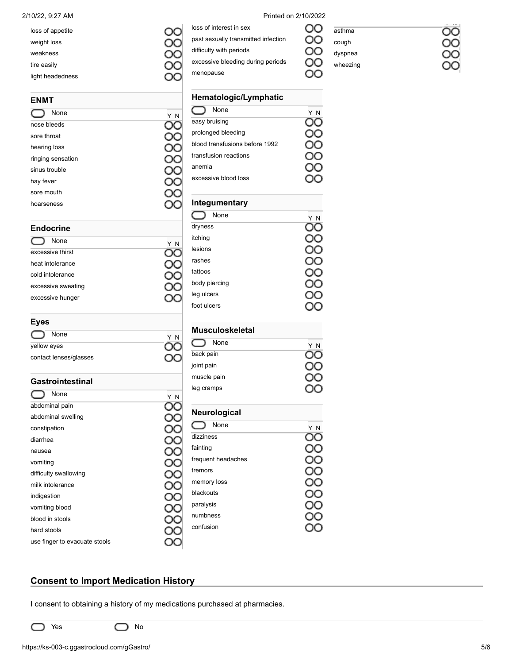| loss of appetite |  |
|------------------|--|
| weight loss      |  |
| weakness         |  |
| tire easily      |  |
| light headedness |  |

| <b>ENMT</b>       |     |  |  |  |  |
|-------------------|-----|--|--|--|--|
| None              | Y N |  |  |  |  |
| nose bleeds       |     |  |  |  |  |
| sore throat       |     |  |  |  |  |
| hearing loss      |     |  |  |  |  |
| ringing sensation |     |  |  |  |  |
| sinus trouble     |     |  |  |  |  |
| hay fever         |     |  |  |  |  |
| sore mouth        |     |  |  |  |  |
| hoarseness        |     |  |  |  |  |

| <b>Endocrine</b> |  |  |  |  |  |
|------------------|--|--|--|--|--|
| Y N              |  |  |  |  |  |
|                  |  |  |  |  |  |
|                  |  |  |  |  |  |
|                  |  |  |  |  |  |
|                  |  |  |  |  |  |
|                  |  |  |  |  |  |
|                  |  |  |  |  |  |

| Eyes                   |              |
|------------------------|--------------|
| None                   | $\mathsf{N}$ |
| yellow eyes            |              |
| contact lenses/glasses |              |

### **Gastrointestinal**

| None                          | ΥN |
|-------------------------------|----|
| abdominal pain                |    |
| abdominal swelling            |    |
| constipation                  |    |
| diarrhea                      |    |
| nausea                        |    |
| vomiting                      |    |
| difficulty swallowing         |    |
| milk intolerance              |    |
| indigestion                   |    |
| vomiting blood                |    |
| blood in stools               |    |
| hard stools                   |    |
| use finger to evacuate stools |    |

2/10/22, 9:27 AM Printed on 2/10/2022

loss of interest in sex

difficulty with periods

past sexually transmitted infection

excessive bleeding during periods

### OO asthma OO

೦೦ OС

cough

dyspnea wheezing

 $\sim$ OС

| menopause                      |        |
|--------------------------------|--------|
| Hematologic/Lymphatic          |        |
| ⌒<br>None                      | Y<br>N |
| easy bruising                  |        |
| prolonged bleeding             |        |
| blood transfusions before 1992 |        |
| transfusion reactions          |        |
| anemia                         |        |
| excessive blood loss           |        |
| Integumentary                  |        |
| ◯ None                         | Ν      |
| dryness                        |        |
| itching                        |        |
| lesions                        |        |
| rashes                         |        |
| tattoos                        |        |
| body piercing                  |        |
| leg ulcers                     |        |
| foot ulcers                    |        |
| <b>Musculoskeletal</b>         |        |
| None                           |        |
| back pain                      |        |
| joint pain                     |        |
| muscle pain                    |        |
| leg cramps                     |        |
| Neurological                   |        |
| None                           |        |
| dizziness                      |        |
| fainting                       |        |
| frequent headaches             |        |
| tremors                        |        |
| memory loss                    |        |
| blackouts                      |        |
| paralysis                      |        |
| numbness                       |        |
| confusion                      |        |

## **Consent to Import Medication History**

I consent to obtaining a history of my medications purchased at pharmacies.

C

 $\bigcirc$  Yes  $\bigcirc$  No